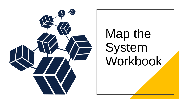

# Map the System Workbook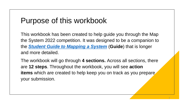### Purpose of this workbook

This workbook has been created to help guide you through the Map the System 2022 competition. It was designed to be a companion to the *[Student Guide to Mapping a System](https://www.mtroyal.ca/nonprofit/InstituteforCommunityProsperity/_pdfs/ssdata_icp_mts_2020.pdf)* (**Guide**) that is longer and more detailed.

The workbook will go through **4 sections.** Across all sections, there are **12 steps**. Throughout the workbook, you will see **action items** which are created to help keep you on track as you prepare your submission.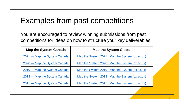### Examples from past competitions

You are encouraged to review winning submissions from past competitions for ideas on how to structure your key deliverables.

| <b>Map the System Canada</b> | <b>Map the System Global</b>                    |  |  |
|------------------------------|-------------------------------------------------|--|--|
| 2021 — Map the System Canada | Map the System 2021   Map the System (ox.ac.uk) |  |  |
| 2020 — Map the System Canada | Map the System 2020   Map the System (ox.ac.uk) |  |  |
| 2019 — Map the System Canada | Map the System 2019   Map the System (ox.ac.uk) |  |  |
| 2018 – Map the System Canada | Map the System 2018   Map the System (ox.ac.uk) |  |  |
| 2017 — Map the System Canada | Map the System 2017   Map the System (ox.ac.uk) |  |  |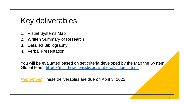### Key deliverables

- 1. Visual Systems Map
- 2. Written Summary of Research
- 3. Detailed Bibliography
- 4. Verbal Presentation

You will be evaluated based on set criteria developed by the Map the System Global team: <https://mapthesystem.sbs.ox.ac.uk/evaluation-criteria>

*Remember:* These deliverables are due on April 3, 2022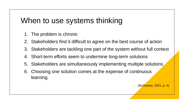### When to use systems thinking

- 1. The problem is chronic
- 2. Stakeholders find it difficult to agree on the best course of action
- 3. Stakeholders are tackling one part of the system without full context
- 4. Short-term efforts seem to undermine long-term solutions
- 5. Stakeholders are simultaneously implementing multiple solutions
- 6. Choosing one solution comes at the expense of continuous learning

(McGowan, 2021, p. 4)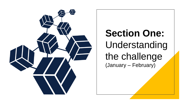

# **Section One:** Understanding the challenge (January – February)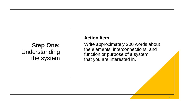### **Step One:** Understanding the system

#### **Action Item**

Write approximately 200 words about the elements, interconnections, and function or purpose of a system that you are interested in.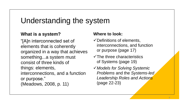### Understanding the system

### **What is a system?**

"[A]n interconnected set of elements that is coherently organized in a way that achieves something...a system must consist of three kinds of things: elements, interconnections, and a function or purpose." (Meadows, 2008, p. 11)

- $\checkmark$  Definitions of elements, interconnections, and function or purpose (page 17)
- $\checkmark$ The three characteristics of Systems (page 19)
- ✓*Models for Solving Systemic Problems* and the *Systems-led Leadership Roles and Actions*  (page 22-23)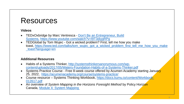### Resources

#### **Videos**

- TEDxOxbridge by Marc Ventresca Don't Be an Entrepreneur, Build Systems, [https://www.youtube.com/watch?v=l9T3diyqRPg](https://youtu.be/l9T3diyqRPg)
- TEDGlobal by Tom Wujec Got a wicked problem? First, tell me how you make toast, [https://www.ted.com/talks/tom\\_wujec\\_got\\_a\\_wicked\\_problem\\_first\\_tell\\_me\\_how\\_you\\_make](https://www.ted.com/talks/tom_wujec_got_a_wicked_problem_first_tell_me_how_you_make_toast?language=en) \_toast?language=en

#### **Additional Resources**

- Habits of a Systems Thinker, http://systemsthinkersanonymous.com/wp[content/uploads/2017/05/Waters-Foundation-Habits-of-a-Systems-Thinker.pdf](http://systemsthinkersanonymous.com/wp-content/uploads/2017/05/Waters-Foundation-Habits-of-a-Systems-Thinker.pdf)
- Systems Practice Course Free 8-week course offered by Acumen Academy starting January 25, 2022, <https://acumenacademy.org/course/systems-practice/>
- Course resource Systems Thinking Workbook, [https://docs.kumu.io/content/Workbook-](https://docs.kumu.io/content/Workbook-012617.pdf)012617.pdf
- An overview of *System Mapping in the Horizons Foresight Method* by Policy Horizon Canada, [Module 4: System Mapping](https://horizons.gc.ca/en/our-work/learning-materials/foresight-training-manual-module-4-system-mapping/)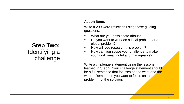### **Step Two:** Identifying a challenge

#### **Action Items**

Write a 200-word reflection using these guiding questions:

- What are you passionate about?
- Do you want to work on a local problem or a global problem?
- How will you research this problem?
- How can you scope your challenge to make your work meaningful and manageable?

Write a challenge statement using the lessons learned in Step 2. Your challenge statement should be a full sentence that focuses on the what and the where. Remember, you want to focus on the problem, not the solution.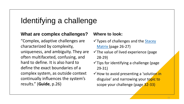### Identifying a challenge

#### **What are complex challenges?**

"Complex, adaptive challenges are characterized by complexity, uniqueness, and ambiguity. They are often multifaceted, confusing, and hard to define. It is also hard to define the exact boundaries of a complex system, as outside context continually influences the system's results." (**Guide**, p.26)

- $\checkmark$  Types of challenges and the Stacey Matrix (page 26-27)
- $\checkmark$  The value of lived experience (page 28-29)
- $\checkmark$  Tips for identifying a challenge (page 29-31)
- ✓How to avoid presenting a 'solution in disguise' and narrowing your topic to scope your challenge (page 32-33)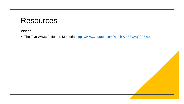### **Resources**

#### **Videos**

• The Five Whys: Jefferson Memorial <https://www.youtube.com/watch?v=BEQvq99PZwo>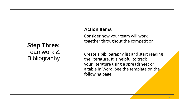### **Step Three:** Teamwork & **Bibliography**

#### **Action Items**

Consider how your team will work together throughout the competition.

Create a bibliography list and start reading the literature. It is helpful to track your literature using a spreadsheet or a table in Word. See the template on the following page.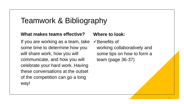### Teamwork & Bibliography

#### **What makes teams effective?**

If you are working as a team, take some time to determine how you will share work, how you will communicate, and how you will celebrate your hard work. Having these conversations at the outset of the competition can go a long way!

#### **Where to look:**

✓Benefits of working collaboratively and some tips on how to form a team (page 36-37)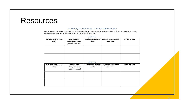### **Resources**

#### Map the System Research – Annotated Bibliography

Note: It is suggested that you gather approximately 30 articles/papers (combination of academic literature and grey literature). It is helpful to separate the literature into two different categories: challenges and solutions.

#### Challenges

| Full Reference (i.e., APA<br>style) | Objective of the<br>article/paper or the<br>problem addressed | Sample and location of<br>study | Key results/findings and<br>conclusions | <b>Additional notes</b> |
|-------------------------------------|---------------------------------------------------------------|---------------------------------|-----------------------------------------|-------------------------|
|                                     |                                                               |                                 |                                         |                         |
|                                     |                                                               |                                 |                                         |                         |

#### Solutions

| Full Reference (i.e., APA<br>style) | Objective of the<br>article/paper or the<br>problem addressed | Sample and location of<br>study | Key results/findings and<br>conclusions | <b>Additional notes</b> |
|-------------------------------------|---------------------------------------------------------------|---------------------------------|-----------------------------------------|-------------------------|
|                                     |                                                               |                                 |                                         |                         |
|                                     |                                                               |                                 |                                         |                         |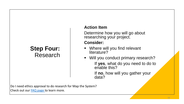### **Step Four:** Research

### **Action Item**

Determine how you will go about researching your project.

### **Consider:**

- Where will you find relevant literature?
- Will you conduct primary research? If **yes**, what do you need to do to enable this?

If **no**, how will you gather your data?

Do I need ethics approval to do research for Map the System? Check out our **FAQ** page to learn more.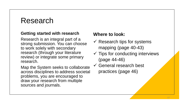### Research

#### **Getting started with research**

Research is an integral part of a strong submission. You can choose to work solely with secondary research (through your literature review) or integrate some primary research.

Map the System seeks to collaborate across disciplines to address societal problems, you are encouraged to draw your research from multiple sources and journals.

- $\checkmark$  Research tips for systems mapping (page 40-43)
- $\checkmark$  Tips for conducting interviews (page 44-46)
- $\checkmark$  General research best practices (page 46)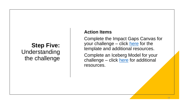### **Step Five:** Understanding the challenge

### **Action Items**

Complete the Impact Gaps Canvas for your challenge – click [here](https://tacklingheropreneurship.com/the-impact-gaps-canvas/) for the template and additional resources.

Complete an Iceberg Model for your challenge – click [here](https://ecochallenge.org/iceberg-model/) for additional resources.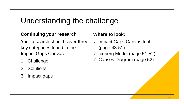## Understanding the challenge

### **Continuing your research**

Your research should cover three key categories found in the Impact Gaps Canvas:

- 1. Challenge
- 2. Solutions
- 3. Impact gaps

- ✓ Impact Gaps Canvas tool (page 48-51)
- $\checkmark$  Iceberg Model (page 51-52)
- ✓ Causes Diagram (page 52)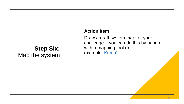### **Step Six:** Map the system

#### **Action Item**

Draw a draft system map for your challenge – you can do this by hand or with a mapping tool (for example, [Kumu\)](https://www.kumu.io/).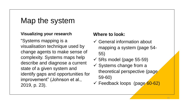### Map the system

#### **Visualizing your research**

"Systems mapping is a visualisation technique used by change agents to make sense of complexity. Systems maps help describe and diagnose a current state of a given system and identify gaps and opportunities for improvement" (Johnson et al., 2019, p. 23).

- $\checkmark$  General information about mapping a system (page 54- 55)
- $\checkmark$  5Rs model (page 55-59)
- $\checkmark$  Systems change from a theoretical perspective (page 59-60)
- $\checkmark$  Feedback loops (page 60-62)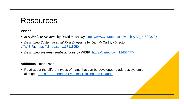### Resources

#### **Videos:**

- *In A World of Systems* by David Macaulay, [https://www.youtube.com/watch?v=A\\_BtS008J0k](https://www.youtube.com/watch?v=A_BtS008J0k)
- *Describing Systems-causal Flow Diagrams* by Dan McCarthy (Director of [WISIR\)](https://uwaterloo.ca/waterloo-institute-for-social-innovation-and-resilience/), <https://vimeo.com/117111950>
- *Describing systems-feedback loops* by WISIR, <https://vimeo.com/124574774>

#### **Additional Resources:**

• Read about the different types of maps that can be developed to address systemic challenges, Tools for [Supporting Systems Thinking and Change](https://www.fsg.org/blog/tools-supporting-systems-thinking-and-change)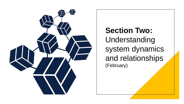

**Section Two:** Understanding system dynamics and relationships (February)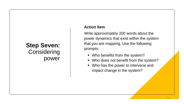### **Step Seven: Considering** power

#### **Action Item**

Write approximately 200 words about the power dynamics that exist within the system that you are mapping. Use the following prompts:

- Who benefits from the system?
- Who does not benefit from the system?
- Who has the power to intervene and impact change in the system?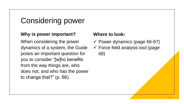### Considering power

#### **Why is power important?**

When considering the power dynamics of a system, the Guide poses an important question for you to consider "[w]ho benefits from the way things are, who does not, and who has the power to change that?" (p. 66).

- $\checkmark$  Power dynamics (page 66-67)
- $\checkmark$  Force field analysis tool (page 68)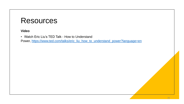### **Resources**

**Video**

• Watch Eric Liu's TED Talk - How to Understand

Power, [https://www.ted.com/talks/eric\\_liu\\_how\\_to\\_understand\\_power?language=en](https://www.ted.com/talks/eric_liu_how_to_understand_power?language=en)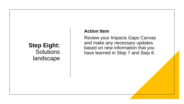### **Step Eight: Solutions** landscape

#### **Action Item**

Review your Impacts Gaps Canvas and make any necessary updates based on new information that you have learned in Step 7 and Step 8.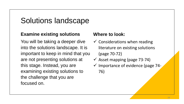### Solutions landscape

### **Examine existing solutions**

You will be taking a deeper dive into the solutions landscape. It is important to keep in mind that you are not presenting solutions at this stage. Instead, you are examining existing solutions to the challenge that you are focused on.

- $\checkmark$  Considerations when reading literature on existing solutions (page 70-72)
- $\checkmark$  Asset mapping (page 73-74)
- $\checkmark$  Importance of evidence (page 74-76)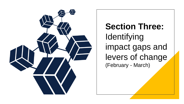

**Section Three:** Identifying impact gaps and levers of change (February - March)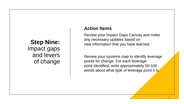**Step Nine:** Impact gaps and levers of change

#### **Action Items**

Review your Impact Gaps Canvas and make any necessary updates based on new information that you have learned.

Review your systems map to identify leverage points for change. For each leverage point identified, write approximately 50-100 words about what type of leverage point it is.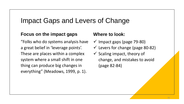### Impact Gaps and Levers of Change

#### **Focus on the impact gaps**

"Folks who do systems analysis have a great belief in 'leverage points'. These are places within a complex system where a small shift in one thing can produce big changes in everything" (Meadows, 1999, p. 1).

- $\checkmark$  Impact gaps (page 79-80)  $\checkmark$  Levers for change (page 80-82)
- $\checkmark$  Scaling impact, theory of change, and mistakes to avoid (page 82-84)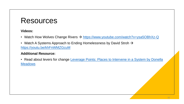### Resources

#### **Videos:**

- Watch How Wolves Change Rivers → <https://www.youtube.com/watch?v=ysa5OBhXz-Q>
- Watch A Systems Approach to Ending Homelessness by David Stroh → <https://youtu.be/khFnWMZGcuM>

#### **Additional Resource:**

• [Read about levers for change Leverage Points: Places to Intervene in a System by Donella](http://www.donellameadows.org/wp-content/userfiles/Leverage_Points.pdf) **Meadows**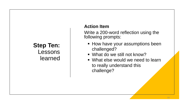### **Step Ten:** Lessons learned

### **Action Item**

Write a 200-word reflection using the following prompts:

- **EXTERE YOUT ASSUMPTED BEEN** challenged?
- What do we still not know?
- What else would we need to learn to really understand this challenge?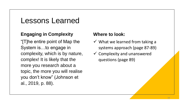### Lessons Learned

### **Engaging in Complexity**

"[T]he entire point of Map the System is…to engage in complexity, which is by nature, complex! It is likely that the more you research about a topic, the more you will realise you don't know" (Johnson et al., 2019, p. 88).

- $\checkmark$  What we learned from taking a systems approach (page 87-89)
- $\checkmark$  Complexity and unanswered questions (page 89)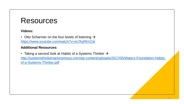### Resources

#### **Videos:**

• Otto Scharmer on the four levels of listening  $\rightarrow$ <https://www.youtube.com/watch?v=eLfXpRkVZaI>

#### **Additional Resources:**

• Taking a second look at Habits of a Systems Thinker  $\rightarrow$ [http://systemsthinkersanonymous.com/wp-content/uploads/2017/05/Waters-Foundation-Habits](http://systemsthinkersanonymous.com/wp-content/uploads/2017/05/Waters-Foundation-Habits-of-a-Systems-Thinker.pdf)of-a-Systems-Thinker.pdf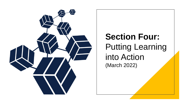

# **Section Four:** Putting Learning into Action (March 2022)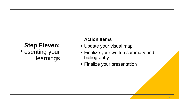### **Step Eleven:** Presenting your learnings

### **Action Items**

- **Update your visual map**
- **Finalize your written summary and** bibliography
- **Einalize your presentation**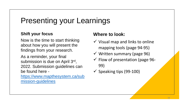## Presenting your Learnings

#### **Shift your focus**

Now is the time to start thinking about how you will present the findings from your research.

As a reminder, your final submission is due on April 3rd, 2022. Submission guidelines can be found here -

[https://www.mapthesystem.ca/sub](https://www.mapthesystem.ca/submission-guidelines) mission-guidelines

- $\checkmark$  Visual map and links to online mapping tools (page 94-95)
- $\checkmark$  Written summary (page 96)
- $\checkmark$  Flow of presentation (page 96-99)
- $\checkmark$  Speaking tips (99-100)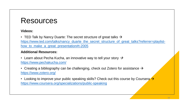### Resources

#### **Videos:**

• TED Talk by Nancy Duarte: The secret structure of great talks  $\rightarrow$ [https://www.ted.com/talks/nancy\\_duarte\\_the\\_secret\\_structure\\_of\\_great\\_talks?referrer=playlist](https://www.ted.com/talks/nancy_duarte_the_secret_structure_of_great_talks?referrer=playlist-how_to_make_a_great_presentation#t-2005)how\_to\_make\_a\_great\_presentation#t-2005

#### **Additional Resources:**

• Learn about Pecha Kucha, an innovative way to tell your story  $\rightarrow$ <https://www.pechakucha.com/>

• Creating a bibliography can be challenging, check out Zotero for assistance  $\rightarrow$ <https://www.zotero.org/>

• Looking to improve your public speaking skills? Check out this course by Coursera  $\rightarrow$ <https://www.coursera.org/specializations/public-speaking>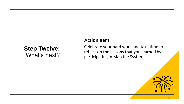### **Step Twelve:** What's next?

#### **Action Item**

Celebrate your hard work and take time to reflect on the lessons that you learned by participating in Map the System.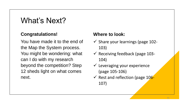### What's Next?

### **Congratulations!**

You have made it to the end of the Map the System process. You might be wondering: what can I do with my research beyond the competition? Step 12 sheds light on what comes next.

- $\checkmark$  Share your learnings (page 102-103)
- $\checkmark$  Receiving feedback (page 103-104)
- $\checkmark$  Leveraging your experience (page 105-106)
- $\checkmark$  Rest and reflection (page 106-107)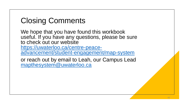## Closing Comments

We hope that you have found this workbook useful. If you have any questions, please be sure to check out our website https://uwaterloo.ca/centre-peace[advancement/student-engagement/map-system](https://uwaterloo.ca/centre-peace-advancement/student-engagement/map-system)

or reach out by email to Leah, our Campus Lead [mapthesystem@uwaterloo.ca](mailto:mapthesystem@uwaterloo.ca)